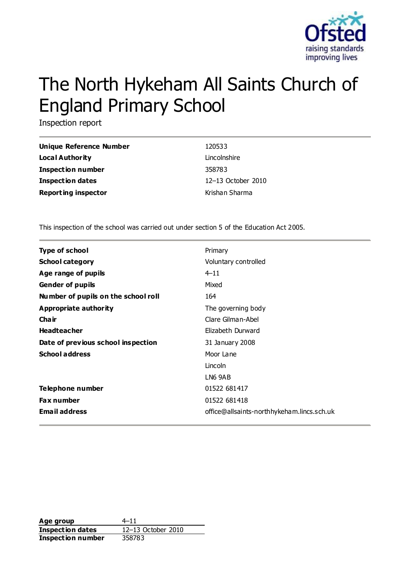

# The North Hykeham All Saints Church of England Primary School

Inspection report

| Unique Reference Number    | 120533             |
|----------------------------|--------------------|
| Local Authority            | Lincolnshire       |
| <b>Inspection number</b>   | 358783             |
| <b>Inspection dates</b>    | 12-13 October 2010 |
| <b>Reporting inspector</b> | Krishan Sharma     |

This inspection of the school was carried out under section 5 of the Education Act 2005.

| <b>Type of school</b>               | Primary                                    |
|-------------------------------------|--------------------------------------------|
| <b>School category</b>              | Voluntary controlled                       |
| Age range of pupils                 | $4 - 11$                                   |
| <b>Gender of pupils</b>             | Mixed                                      |
| Number of pupils on the school roll | 164                                        |
| Appropriate authority               | The governing body                         |
| Cha ir                              | Clare Gilman-Abel                          |
| <b>Headteacher</b>                  | Elizabeth Durward                          |
| Date of previous school inspection  | 31 January 2008                            |
| <b>School address</b>               | Moor Lane                                  |
|                                     | Lincoln                                    |
|                                     | LN6 9AB                                    |
| Telephone number                    | 01522 681417                               |
| <b>Fax number</b>                   | 01522 681418                               |
| <b>Email address</b>                | office@allsaints-northhykeham.lincs.sch.uk |

**Age group** 4–11 **Inspection dates** 12–13 October 2010 **Inspection number** 358783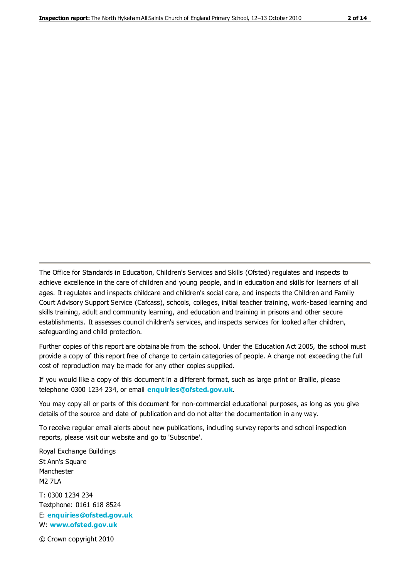The Office for Standards in Education, Children's Services and Skills (Ofsted) regulates and inspects to achieve excellence in the care of children and young people, and in education and skills for learners of all ages. It regulates and inspects childcare and children's social care, and inspects the Children and Family Court Advisory Support Service (Cafcass), schools, colleges, initial teacher training, work-based learning and skills training, adult and community learning, and education and training in prisons and other secure establishments. It assesses council children's services, and inspects services for looked after children, safeguarding and child protection.

Further copies of this report are obtainable from the school. Under the Education Act 2005, the school must provide a copy of this report free of charge to certain categories of people. A charge not exceeding the full cost of reproduction may be made for any other copies supplied.

If you would like a copy of this document in a different format, such as large print or Braille, please telephone 0300 1234 234, or email **[enquiries@ofsted.gov.uk](mailto:enquiries@ofsted.gov.uk)**.

You may copy all or parts of this document for non-commercial educational purposes, as long as you give details of the source and date of publication and do not alter the documentation in any way.

To receive regular email alerts about new publications, including survey reports and school inspection reports, please visit our website and go to 'Subscribe'.

Royal Exchange Buildings St Ann's Square Manchester M2 7LA T: 0300 1234 234 Textphone: 0161 618 8524 E: **[enquiries@ofsted.gov.uk](mailto:enquiries@ofsted.gov.uk)**

W: **[www.ofsted.gov.uk](http://www.ofsted.gov.uk/)**

© Crown copyright 2010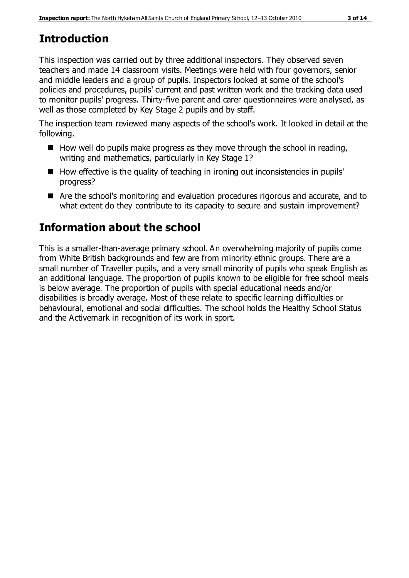# **Introduction**

This inspection was carried out by three additional inspectors. They observed seven teachers and made 14 classroom visits. Meetings were held with four governors, senior and middle leaders and a group of pupils. Inspectors looked at some of the school's policies and procedures, pupils' current and past written work and the tracking data used to monitor pupils' progress. Thirty-five parent and carer questionnaires were analysed, as well as those completed by Key Stage 2 pupils and by staff.

The inspection team reviewed many aspects of the school's work. It looked in detail at the following.

- $\blacksquare$  How well do pupils make progress as they move through the school in reading, writing and mathematics, particularly in Key Stage 1?
- $\blacksquare$  How effective is the quality of teaching in ironing out inconsistencies in pupils' progress?
- Are the school's monitoring and evaluation procedures rigorous and accurate, and to what extent do they contribute to its capacity to secure and sustain improvement?

# **Information about the school**

This is a smaller-than-average primary school. An overwhelming majority of pupils come from White British backgrounds and few are from minority ethnic groups. There are a small number of Traveller pupils, and a very small minority of pupils who speak English as an additional language. The proportion of pupils known to be eligible for free school meals is below average. The proportion of pupils with special educational needs and/or disabilities is broadly average. Most of these relate to specific learning difficulties or behavioural, emotional and social difficulties. The school holds the Healthy School Status and the Activemark in recognition of its work in sport.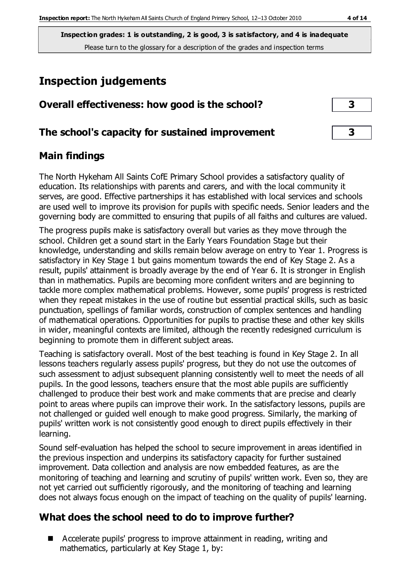# **Inspection judgements**

| Overall effectiveness: how good is the school?  |  |
|-------------------------------------------------|--|
| The school's capacity for sustained improvement |  |

### **Main findings**

The North Hykeham All Saints CofE Primary School provides a satisfactory quality of education. Its relationships with parents and carers, and with the local community it serves, are good. Effective partnerships it has established with local services and schools are used well to improve its provision for pupils with specific needs. Senior leaders and the governing body are committed to ensuring that pupils of all faiths and cultures are valued.

The progress pupils make is satisfactory overall but varies as they move through the school. Children get a sound start in the Early Years Foundation Stage but their knowledge, understanding and skills remain below average on entry to Year 1. Progress is satisfactory in Key Stage 1 but gains momentum towards the end of Key Stage 2. As a result, pupils' attainment is broadly average by the end of Year 6. It is stronger in English than in mathematics. Pupils are becoming more confident writers and are beginning to tackle more complex mathematical problems. However, some pupils' progress is restricted when they repeat mistakes in the use of routine but essential practical skills, such as basic punctuation, spellings of familiar words, construction of complex sentences and handling of mathematical operations. Opportunities for pupils to practise these and other key skills in wider, meaningful contexts are limited, although the recently redesigned curriculum is beginning to promote them in different subject areas.

Teaching is satisfactory overall. Most of the best teaching is found in Key Stage 2. In all lessons teachers regularly assess pupils' progress, but they do not use the outcomes of such assessment to adjust subsequent planning consistently well to meet the needs of all pupils. In the good lessons, teachers ensure that the most able pupils are sufficiently challenged to produce their best work and make comments that are precise and clearly point to areas where pupils can improve their work. In the satisfactory lessons, pupils are not challenged or guided well enough to make good progress. Similarly, the marking of pupils' written work is not consistently good enough to direct pupils effectively in their learning.

Sound self-evaluation has helped the school to secure improvement in areas identified in the previous inspection and underpins its satisfactory capacity for further sustained improvement. Data collection and analysis are now embedded features, as are the monitoring of teaching and learning and scrutiny of pupils' written work. Even so, they are not yet carried out sufficiently rigorously, and the monitoring of teaching and learning does not always focus enough on the impact of teaching on the quality of pupils' learning.

## **What does the school need to do to improve further?**

■ Accelerate pupils' progress to improve attainment in reading, writing and mathematics, particularly at Key Stage 1, by: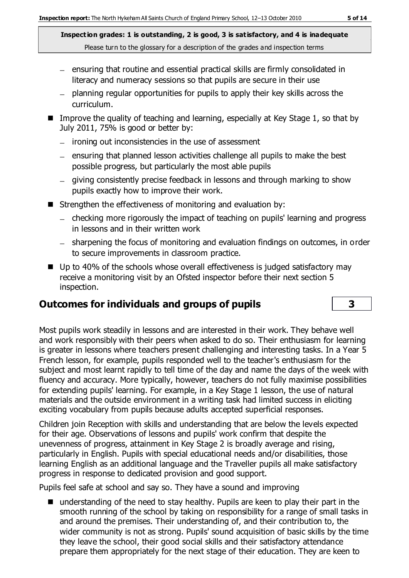- ensuring that routine and essential practical skills are firmly consolidated in literacy and numeracy sessions so that pupils are secure in their use
- planning regular opportunities for pupils to apply their key skills across the curriculum.
- Improve the quality of teaching and learning, especially at Key Stage 1, so that by July 2011, 75% is good or better by:
	- $-$  ironing out inconsistencies in the use of assessment
	- $-$  ensuring that planned lesson activities challenge all pupils to make the best possible progress, but particularly the most able pupils
	- giving consistently precise feedback in lessons and through marking to show pupils exactly how to improve their work.
- Strengthen the effectiveness of monitoring and evaluation by:
	- checking more rigorously the impact of teaching on pupils' learning and progress in lessons and in their written work
	- sharpening the focus of monitoring and evaluation findings on outcomes, in order to secure improvements in classroom practice.
- Up to 40% of the schools whose overall effectiveness is judged satisfactory may receive a monitoring visit by an Ofsted inspector before their next section 5 inspection.

## **Outcomes for individuals and groups of pupils 3**

Most pupils work steadily in lessons and are interested in their work. They behave well and work responsibly with their peers when asked to do so. Their enthusiasm for learning is greater in lessons where teachers present challenging and interesting tasks. In a Year 5 French lesson, for example, pupils responded well to the teacher's enthusiasm for the subject and most learnt rapidly to tell time of the day and name the days of the week with fluency and accuracy. More typically, however, teachers do not fully maximise possibilities for extending pupils' learning. For example, in a Key Stage 1 lesson, the use of natural materials and the outside environment in a writing task had limited success in eliciting exciting vocabulary from pupils because adults accepted superficial responses.

Children join Reception with skills and understanding that are below the levels expected for their age. Observations of lessons and pupils' work confirm that despite the unevenness of progress, attainment in Key Stage 2 is broadly average and rising, particularly in English. Pupils with special educational needs and/or disabilities, those learning English as an additional language and the Traveller pupils all make satisfactory progress in response to dedicated provision and good support.

Pupils feel safe at school and say so. They have a sound and improving

■ understanding of the need to stay healthy. Pupils are keen to play their part in the smooth running of the school by taking on responsibility for a range of small tasks in and around the premises. Their understanding of, and their contribution to, the wider community is not as strong. Pupils' sound acquisition of basic skills by the time they leave the school, their good social skills and their satisfactory attendance prepare them appropriately for the next stage of their education. They are keen to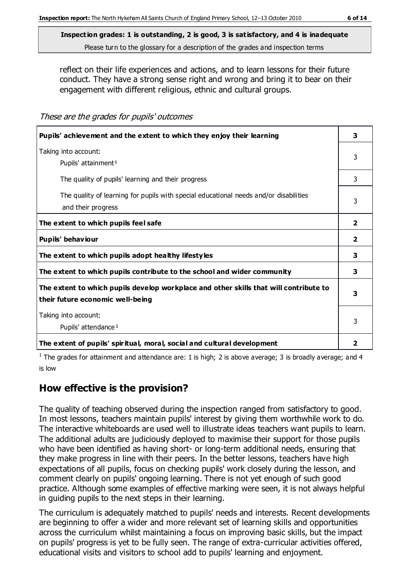reflect on their life experiences and actions, and to learn lessons for their future conduct. They have a strong sense right and wrong and bring it to bear on their engagement with different religious, ethnic and cultural groups.

| These are the grades for pupils' outcomes |  |
|-------------------------------------------|--|
|-------------------------------------------|--|

| Pupils' achievement and the extent to which they enjoy their learning                                                     |                |  |
|---------------------------------------------------------------------------------------------------------------------------|----------------|--|
| Taking into account:<br>Pupils' attainment <sup>1</sup>                                                                   | 3              |  |
| The quality of pupils' learning and their progress                                                                        | 3              |  |
| The quality of learning for pupils with special educational needs and/or disabilities<br>and their progress               | 3              |  |
| The extent to which pupils feel safe                                                                                      | $\overline{2}$ |  |
| Pupils' behaviour                                                                                                         | $\overline{2}$ |  |
| The extent to which pupils adopt healthy lifestyles                                                                       | 3              |  |
| The extent to which pupils contribute to the school and wider community                                                   | 3              |  |
| The extent to which pupils develop workplace and other skills that will contribute to<br>their future economic well-being |                |  |
| Taking into account:<br>Pupils' attendance <sup>1</sup>                                                                   | 3              |  |
| The extent of pupils' spiritual, moral, social and cultural development                                                   | $\mathbf{2}$   |  |

<sup>1</sup> The grades for attainment and attendance are: 1 is high; 2 is above average; 3 is broadly average; and 4 is low

#### **How effective is the provision?**

The quality of teaching observed during the inspection ranged from satisfactory to good. In most lessons, teachers maintain pupils' interest by giving them worthwhile work to do. The interactive whiteboards are used well to illustrate ideas teachers want pupils to learn. The additional adults are judiciously deployed to maximise their support for those pupils who have been identified as having short- or long-term additional needs, ensuring that they make progress in line with their peers. In the better lessons, teachers have high expectations of all pupils, focus on checking pupils' work closely during the lesson, and comment clearly on pupils' ongoing learning. There is not yet enough of such good practice. Although some examples of effective marking were seen, it is not always helpful in guiding pupils to the next steps in their learning.

The curriculum is adequately matched to pupils' needs and interests. Recent developments are beginning to offer a wider and more relevant set of learning skills and opportunities across the curriculum whilst maintaining a focus on improving basic skills, but the impact on pupils' progress is yet to be fully seen. The range of extra-curricular activities offered, educational visits and visitors to school add to pupils' learning and enjoyment.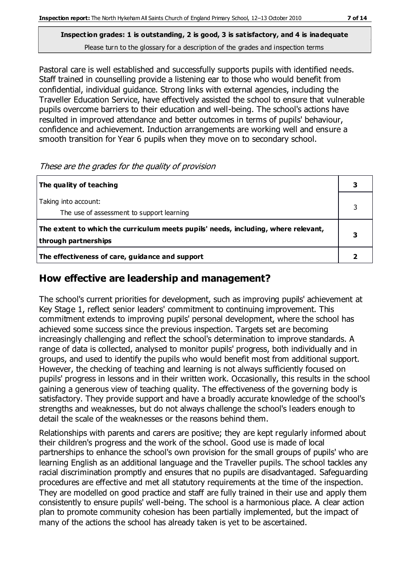Pastoral care is well established and successfully supports pupils with identified needs. Staff trained in counselling provide a listening ear to those who would benefit from confidential, individual guidance. Strong links with external agencies, including the Traveller Education Service, have effectively assisted the school to ensure that vulnerable pupils overcome barriers to their education and well-being. The school's actions have resulted in improved attendance and better outcomes in terms of pupils' behaviour, confidence and achievement. Induction arrangements are working well and ensure a smooth transition for Year 6 pupils when they move on to secondary school.

These are the grades for the quality of provision

| The quality of teaching                                                                                    |  |
|------------------------------------------------------------------------------------------------------------|--|
| Taking into account:<br>The use of assessment to support learning                                          |  |
| The extent to which the curriculum meets pupils' needs, including, where relevant,<br>through partnerships |  |
| The effectiveness of care, guidance and support                                                            |  |

#### **How effective are leadership and management?**

The school's current priorities for development, such as improving pupils' achievement at Key Stage 1, reflect senior leaders' commitment to continuing improvement. This commitment extends to improving pupils' personal development, where the school has achieved some success since the previous inspection. Targets set are becoming increasingly challenging and reflect the school's determination to improve standards. A range of data is collected, analysed to monitor pupils' progress, both individually and in groups, and used to identify the pupils who would benefit most from additional support. However, the checking of teaching and learning is not always sufficiently focused on pupils' progress in lessons and in their written work. Occasionally, this results in the school gaining a generous view of teaching quality. The effectiveness of the governing body is satisfactory. They provide support and have a broadly accurate knowledge of the school's strengths and weaknesses, but do not always challenge the school's leaders enough to detail the scale of the weaknesses or the reasons behind them.

Relationships with parents and carers are positive; they are kept regularly informed about their children's progress and the work of the school. Good use is made of local partnerships to enhance the school's own provision for the small groups of pupils' who are learning English as an additional language and the Traveller pupils. The school tackles any racial discrimination promptly and ensures that no pupils are disadvantaged. Safeguarding procedures are effective and met all statutory requirements at the time of the inspection. They are modelled on good practice and staff are fully trained in their use and apply them consistently to ensure pupils' well-being. The school is a harmonious place. A clear action plan to promote community cohesion has been partially implemented, but the impact of many of the actions the school has already taken is yet to be ascertained.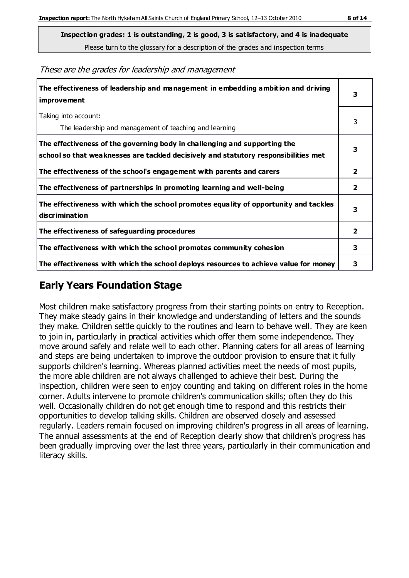**Inspection grades: 1 is outstanding, 2 is good, 3 is satisfactory, and 4 is inadequate**

Please turn to the glossary for a description of the grades and inspection terms

These are the grades for leadership and management

| The effectiveness of leadership and management in embedding ambition and driving<br>improvement                                                                  |                |
|------------------------------------------------------------------------------------------------------------------------------------------------------------------|----------------|
| Taking into account:<br>The leadership and management of teaching and learning                                                                                   | 3              |
| The effectiveness of the governing body in challenging and supporting the<br>school so that weaknesses are tackled decisively and statutory responsibilities met | 3              |
| The effectiveness of the school's engagement with parents and carers                                                                                             | $\mathbf{2}$   |
| The effectiveness of partnerships in promoting learning and well-being                                                                                           | $\overline{2}$ |
| The effectiveness with which the school promotes equality of opportunity and tackles<br>discrimination                                                           | 3              |
| The effectiveness of safeguarding procedures                                                                                                                     | $\overline{2}$ |
| The effectiveness with which the school promotes community cohesion                                                                                              | 3              |
| The effectiveness with which the school deploys resources to achieve value for money                                                                             | 3              |

#### **Early Years Foundation Stage**

Most children make satisfactory progress from their starting points on entry to Reception. They make steady gains in their knowledge and understanding of letters and the sounds they make. Children settle quickly to the routines and learn to behave well. They are keen to join in, particularly in practical activities which offer them some independence. They move around safely and relate well to each other. Planning caters for all areas of learning and steps are being undertaken to improve the outdoor provision to ensure that it fully supports children's learning. Whereas planned activities meet the needs of most pupils, the more able children are not always challenged to achieve their best. During the inspection, children were seen to enjoy counting and taking on different roles in the home corner. Adults intervene to promote children's communication skills; often they do this well. Occasionally children do not get enough time to respond and this restricts their opportunities to develop talking skills. Children are observed closely and assessed regularly. Leaders remain focused on improving children's progress in all areas of learning. The annual assessments at the end of Reception clearly show that children's progress has been gradually improving over the last three years, particularly in their communication and literacy skills.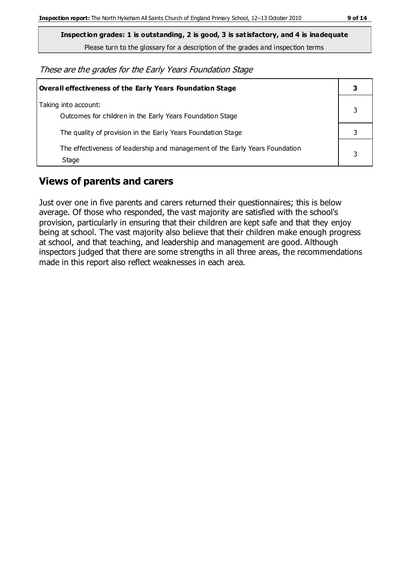**Inspection grades: 1 is outstanding, 2 is good, 3 is satisfactory, and 4 is inadequate**

Please turn to the glossary for a description of the grades and inspection terms

These are the grades for the Early Years Foundation Stage

| <b>Overall effectiveness of the Early Years Foundation Stage</b>                      |  |
|---------------------------------------------------------------------------------------|--|
| Taking into account:<br>Outcomes for children in the Early Years Foundation Stage     |  |
| The quality of provision in the Early Years Foundation Stage                          |  |
| The effectiveness of leadership and management of the Early Years Foundation<br>Stage |  |

### **Views of parents and carers**

Just over one in five parents and carers returned their questionnaires; this is below average. Of those who responded, the vast majority are satisfied with the school's provision, particularly in ensuring that their children are kept safe and that they enjoy being at school. The vast majority also believe that their children make enough progress at school, and that teaching, and leadership and management are good. Although inspectors judged that there are some strengths in all three areas, the recommendations made in this report also reflect weaknesses in each area.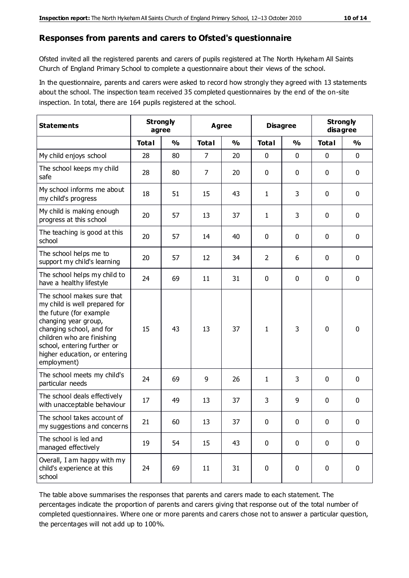#### **Responses from parents and carers to Ofsted's questionnaire**

Ofsted invited all the registered parents and carers of pupils registered at The North Hykeham All Saints Church of England Primary School to complete a questionnaire about their views of the school.

In the questionnaire, parents and carers were asked to record how strongly they agreed with 13 statements about the school. The inspection team received 35 completed questionnaires by the end of the on-site inspection. In total, there are 164 pupils registered at the school.

| <b>Statements</b>                                                                                                                                                                                                                                       | <b>Strongly</b><br>agree |               | <b>Agree</b>   |               | <b>Disagree</b> |               | <b>Strongly</b><br>disagree |               |
|---------------------------------------------------------------------------------------------------------------------------------------------------------------------------------------------------------------------------------------------------------|--------------------------|---------------|----------------|---------------|-----------------|---------------|-----------------------------|---------------|
|                                                                                                                                                                                                                                                         | <b>Total</b>             | $\frac{0}{0}$ | <b>Total</b>   | $\frac{0}{0}$ | <b>Total</b>    | $\frac{0}{0}$ | <b>Total</b>                | $\frac{1}{2}$ |
| My child enjoys school                                                                                                                                                                                                                                  | 28                       | 80            | $\overline{7}$ | 20            | 0               | 0             | $\mathbf 0$                 | $\mathbf 0$   |
| The school keeps my child<br>safe                                                                                                                                                                                                                       | 28                       | 80            | 7              | 20            | 0               | 0             | $\mathbf 0$                 | $\mathbf 0$   |
| My school informs me about<br>my child's progress                                                                                                                                                                                                       | 18                       | 51            | 15             | 43            | 1               | 3             | $\mathbf 0$                 | $\mathbf 0$   |
| My child is making enough<br>progress at this school                                                                                                                                                                                                    | 20                       | 57            | 13             | 37            | 1               | 3             | $\mathbf 0$                 | $\mathbf 0$   |
| The teaching is good at this<br>school                                                                                                                                                                                                                  | 20                       | 57            | 14             | 40            | 0               | 0             | 0                           | $\mathbf 0$   |
| The school helps me to<br>support my child's learning                                                                                                                                                                                                   | 20                       | 57            | 12             | 34            | 2               | 6             | $\mathbf 0$                 | $\mathbf 0$   |
| The school helps my child to<br>have a healthy lifestyle                                                                                                                                                                                                | 24                       | 69            | 11             | 31            | 0               | $\mathbf 0$   | $\mathbf 0$                 | $\mathbf 0$   |
| The school makes sure that<br>my child is well prepared for<br>the future (for example<br>changing year group,<br>changing school, and for<br>children who are finishing<br>school, entering further or<br>higher education, or entering<br>employment) | 15                       | 43            | 13             | 37            | 1               | 3             | $\mathbf 0$                 | $\mathbf 0$   |
| The school meets my child's<br>particular needs                                                                                                                                                                                                         | 24                       | 69            | 9              | 26            | 1               | 3             | $\mathbf 0$                 | $\mathbf 0$   |
| The school deals effectively<br>with unacceptable behaviour                                                                                                                                                                                             | 17                       | 49            | 13             | 37            | 3               | 9             | 0                           | 0             |
| The school takes account of<br>my suggestions and concerns                                                                                                                                                                                              | 21                       | 60            | 13             | 37            | 0               | $\pmb{0}$     | 0                           | $\mathbf{0}$  |
| The school is led and<br>managed effectively                                                                                                                                                                                                            | 19                       | 54            | 15             | 43            | $\pmb{0}$       | $\mathbf 0$   | $\mathbf 0$                 | $\mathbf 0$   |
| Overall, I am happy with my<br>child's experience at this<br>school                                                                                                                                                                                     | 24                       | 69            | 11             | 31            | $\pmb{0}$       | 0             | $\mathbf 0$                 | $\mathbf 0$   |

The table above summarises the responses that parents and carers made to each statement. The percentages indicate the proportion of parents and carers giving that response out of the total number of completed questionnaires. Where one or more parents and carers chose not to answer a particular question, the percentages will not add up to 100%.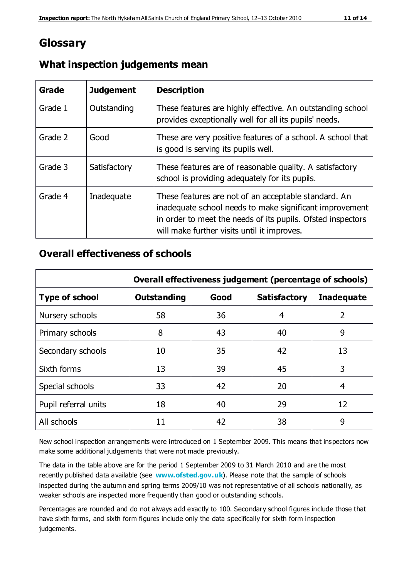## **Glossary**

| Grade   | <b>Judgement</b> | <b>Description</b>                                                                                                                                                                                                            |
|---------|------------------|-------------------------------------------------------------------------------------------------------------------------------------------------------------------------------------------------------------------------------|
| Grade 1 | Outstanding      | These features are highly effective. An outstanding school<br>provides exceptionally well for all its pupils' needs.                                                                                                          |
| Grade 2 | Good             | These are very positive features of a school. A school that<br>is good is serving its pupils well.                                                                                                                            |
| Grade 3 | Satisfactory     | These features are of reasonable quality. A satisfactory<br>school is providing adequately for its pupils.                                                                                                                    |
| Grade 4 | Inadequate       | These features are not of an acceptable standard. An<br>inadequate school needs to make significant improvement<br>in order to meet the needs of its pupils. Ofsted inspectors<br>will make further visits until it improves. |

#### **What inspection judgements mean**

#### **Overall effectiveness of schools**

|                       | Overall effectiveness judgement (percentage of schools) |      |                     |                   |
|-----------------------|---------------------------------------------------------|------|---------------------|-------------------|
| <b>Type of school</b> | <b>Outstanding</b>                                      | Good | <b>Satisfactory</b> | <b>Inadequate</b> |
| Nursery schools       | 58                                                      | 36   | 4                   | $\overline{2}$    |
| Primary schools       | 8                                                       | 43   | 40                  | 9                 |
| Secondary schools     | 10                                                      | 35   | 42                  | 13                |
| Sixth forms           | 13                                                      | 39   | 45                  | 3                 |
| Special schools       | 33                                                      | 42   | 20                  | 4                 |
| Pupil referral units  | 18                                                      | 40   | 29                  | 12                |
| All schools           | 11                                                      | 42   | 38                  | 9                 |

New school inspection arrangements were introduced on 1 September 2009. This means that inspectors now make some additional judgements that were not made previously.

The data in the table above are for the period 1 September 2009 to 31 March 2010 and are the most recently published data available (see **[www.ofsted.gov.uk](http://www.ofsted.gov.uk/)**). Please note that the sample of schools inspected during the autumn and spring terms 2009/10 was not representative of all schools nationally, as weaker schools are inspected more frequently than good or outstanding schools.

Percentages are rounded and do not always add exactly to 100. Secondary school figures include those that have sixth forms, and sixth form figures include only the data specifically for sixth form inspection judgements.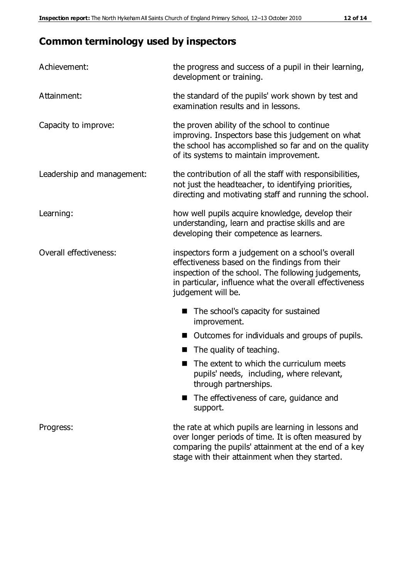## **Common terminology used by inspectors**

| Achievement:               | the progress and success of a pupil in their learning,<br>development or training.                                                                                                                                                          |  |  |
|----------------------------|---------------------------------------------------------------------------------------------------------------------------------------------------------------------------------------------------------------------------------------------|--|--|
| Attainment:                | the standard of the pupils' work shown by test and<br>examination results and in lessons.                                                                                                                                                   |  |  |
| Capacity to improve:       | the proven ability of the school to continue<br>improving. Inspectors base this judgement on what<br>the school has accomplished so far and on the quality<br>of its systems to maintain improvement.                                       |  |  |
| Leadership and management: | the contribution of all the staff with responsibilities,<br>not just the headteacher, to identifying priorities,<br>directing and motivating staff and running the school.                                                                  |  |  |
| Learning:                  | how well pupils acquire knowledge, develop their<br>understanding, learn and practise skills and are<br>developing their competence as learners.                                                                                            |  |  |
| Overall effectiveness:     | inspectors form a judgement on a school's overall<br>effectiveness based on the findings from their<br>inspection of the school. The following judgements,<br>in particular, influence what the overall effectiveness<br>judgement will be. |  |  |
|                            | The school's capacity for sustained<br>improvement.                                                                                                                                                                                         |  |  |
|                            | Outcomes for individuals and groups of pupils.                                                                                                                                                                                              |  |  |
|                            | The quality of teaching.                                                                                                                                                                                                                    |  |  |
|                            | The extent to which the curriculum meets<br>pupils' needs, including, where relevant,<br>through partnerships.                                                                                                                              |  |  |
|                            | The effectiveness of care, guidance and<br>support.                                                                                                                                                                                         |  |  |
| Progress:                  | the rate at which pupils are learning in lessons and<br>over longer periods of time. It is often measured by<br>comparing the pupils' attainment at the end of a key                                                                        |  |  |

stage with their attainment when they started.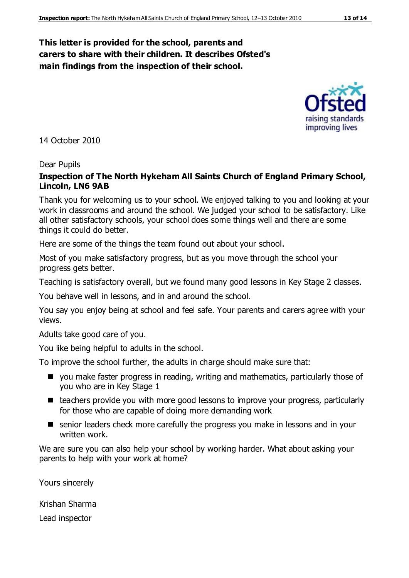#### **This letter is provided for the school, parents and carers to share with their children. It describes Ofsted's main findings from the inspection of their school.**

14 October 2010

#### Dear Pupils

#### **Inspection of The North Hykeham All Saints Church of England Primary School, Lincoln, LN6 9AB**

Thank you for welcoming us to your school. We enjoyed talking to you and looking at your work in classrooms and around the school. We judged your school to be satisfactory. Like all other satisfactory schools, your school does some things well and there are some things it could do better.

Here are some of the things the team found out about your school.

Most of you make satisfactory progress, but as you move through the school your progress gets better.

Teaching is satisfactory overall, but we found many good lessons in Key Stage 2 classes.

You behave well in lessons, and in and around the school.

You say you enjoy being at school and feel safe. Your parents and carers agree with your views.

Adults take good care of you.

You like being helpful to adults in the school.

To improve the school further, the adults in charge should make sure that:

- you make faster progress in reading, writing and mathematics, particularly those of you who are in Key Stage 1
- teachers provide you with more good lessons to improve your progress, particularly for those who are capable of doing more demanding work
- senior leaders check more carefully the progress you make in lessons and in your written work.

We are sure you can also help your school by working harder. What about asking your parents to help with your work at home?

Yours sincerely

Krishan Sharma

Lead inspector